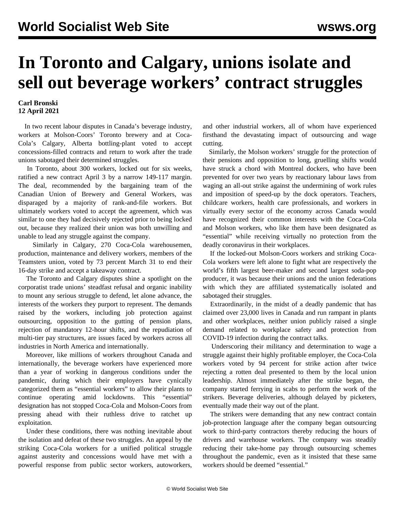## **In Toronto and Calgary, unions isolate and sell out beverage workers' contract struggles**

## **Carl Bronski 12 April 2021**

 In two recent labour disputes in Canada's beverage industry, workers at Molson-Coors' Toronto brewery and at Coca-Cola's Calgary, Alberta bottling-plant voted to accept concessions-filled contracts and return to work after the trade unions sabotaged their determined struggles.

 In Toronto, about 300 workers, locked out for six weeks, ratified a new contract April 3 by a narrow 149-117 margin. The deal, recommended by the bargaining team of the Canadian Union of Brewery and General Workers, was disparaged by a majority of rank-and-file workers. But ultimately workers voted to accept the agreement, which was similar to one they had decisively rejected prior to being locked out, because they realized their union was both unwilling and unable to lead any struggle against the company.

 Similarly in Calgary, 270 Coca-Cola warehousemen, production, maintenance and delivery workers, members of the Teamsters union, voted by 73 percent March 31 to end their 16-day strike and accept a takeaway contract.

 The Toronto and Calgary disputes shine a spotlight on the corporatist trade unions' steadfast refusal and organic inability to mount any serious struggle to defend, let alone advance, the interests of the workers they purport to represent. The demands raised by the workers, including job protection against outsourcing, opposition to the gutting of pension plans, rejection of mandatory 12-hour shifts, and the repudiation of multi-tier pay structures, are issues faced by workers across all industries in North America and internationally.

 Moreover, like millions of workers throughout Canada and internationally, the beverage workers have experienced more than a year of working in dangerous conditions under the pandemic, during which their employers have cynically categorized them as "essential workers" to allow their plants to continue operating amid lockdowns. This "essential" designation has not stopped Coca-Cola and Molson-Coors from pressing ahead with their ruthless drive to ratchet up exploitation.

 Under these conditions, there was nothing inevitable about the isolation and defeat of these two struggles. An appeal by the striking Coca-Cola workers for a unified political struggle against austerity and concessions would have met with a powerful response from public sector workers, autoworkers, and other industrial workers, all of whom have experienced firsthand the devastating impact of outsourcing and wage cutting.

 Similarly, the Molson workers' struggle for the protection of their pensions and opposition to long, gruelling shifts would have struck a chord with Montreal dockers, who have been prevented for over two years by reactionary labour laws from waging an all-out strike against the undermining of work rules and imposition of speed-up by the dock operators. Teachers, childcare workers, health care professionals, and workers in virtually every sector of the economy across Canada would have recognized their common interests with the Coca-Cola and Molson workers, who like them have been designated as "essential" while receiving virtually no protection from the deadly coronavirus in their workplaces.

 If the locked-out Molson-Coors workers and striking Coca-Cola workers were left alone to fight what are respectively the world's fifth largest beer-maker and second largest soda-pop producer, it was because their unions and the union federations with which they are affiliated systematically isolated and sabotaged their struggles.

 Extraordinarily, in the midst of a deadly pandemic that has claimed over 23,000 lives in Canada and run rampant in plants and other workplaces, neither union publicly raised a single demand related to workplace safety and protection from COVID-19 infection during the contract talks.

 Underscoring their militancy and determination to wage a struggle against their highly profitable employer, the Coca-Cola workers voted by 94 percent for strike action after twice rejecting a rotten deal presented to them by the local union leadership. Almost immediately after the strike began, the company started ferrying in scabs to perform the work of the strikers. Beverage deliveries, although delayed by picketers, eventually made their way out of the plant.

 The strikers were demanding that any new contract contain job-protection language after the company began outsourcing work to third-party contractors thereby reducing the hours of drivers and warehouse workers. The company was steadily reducing their take-home pay through outsourcing schemes throughout the pandemic, even as it insisted that these same workers should be deemed "essential."